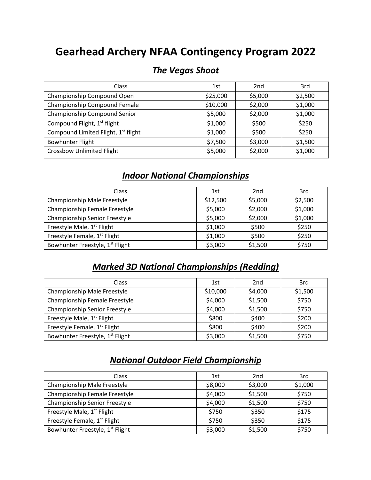## **Gearhead Archery NFAA Contingency Program 2022**

| Class                                           | 1st      | 2 <sub>nd</sub> | 3rd     |
|-------------------------------------------------|----------|-----------------|---------|
| Championship Compound Open                      | \$25,000 | \$5,000         | \$2,500 |
| Championship Compound Female                    | \$10,000 | \$2,000         | \$1,000 |
| Championship Compound Senior                    | \$5,000  | \$2,000         | \$1,000 |
| Compound Flight, 1 <sup>st</sup> flight         | \$1,000  | \$500           | \$250   |
| Compound Limited Flight, 1 <sup>st</sup> flight | \$1,000  | \$500           | \$250   |
| <b>Bowhunter Flight</b>                         | \$7,500  | \$3,000         | \$1,500 |
| <b>Crossbow Unlimited Flight</b>                | \$5,000  | \$2,000         | \$1,000 |

#### *The Vegas Shoot*

## *Indoor National Championships*

| <b>Class</b>                                | 1st      | 2 <sub>nd</sub> | 3rd     |
|---------------------------------------------|----------|-----------------|---------|
| Championship Male Freestyle                 | \$12,500 | \$5,000         | \$2,500 |
| Championship Female Freestyle               | \$5,000  | \$2,000         | \$1,000 |
| Championship Senior Freestyle               | \$5,000  | \$2,000         | \$1,000 |
| Freestyle Male, 1 <sup>st</sup> Flight      | \$1,000  | \$500           | \$250   |
| Freestyle Female, 1 <sup>st</sup> Flight    | \$1,000  | \$500           | \$250   |
| Bowhunter Freestyle, 1 <sup>st</sup> Flight | \$3,000  | \$1,500         | \$750   |

## *Marked 3D National Championships (Redding)*

| <b>Class</b>                                | 1st      | 2 <sub>nd</sub> | 3rd     |
|---------------------------------------------|----------|-----------------|---------|
| Championship Male Freestyle                 | \$10,000 | \$4,000         | \$1,500 |
| Championship Female Freestyle               | \$4,000  | \$1,500         | \$750   |
| Championship Senior Freestyle               | \$4,000  | \$1,500         | \$750   |
| Freestyle Male, 1 <sup>st</sup> Flight      | \$800    | \$400           | \$200   |
| Freestyle Female, 1 <sup>st</sup> Flight    | \$800    | \$400           | \$200   |
| Bowhunter Freestyle, 1 <sup>st</sup> Flight | \$3,000  | \$1,500         | \$750   |

#### *National Outdoor Field Championship*

| Class                                       | 1st     | 2 <sub>nd</sub> | 3rd     |
|---------------------------------------------|---------|-----------------|---------|
| Championship Male Freestyle                 | \$8,000 | \$3,000         | \$1,000 |
| Championship Female Freestyle               | \$4,000 | \$1,500         | \$750   |
| Championship Senior Freestyle               | \$4,000 | \$1,500         | \$750   |
| Freestyle Male, 1 <sup>st</sup> Flight      | \$750   | \$350           | \$175   |
| Freestyle Female, 1st Flight                | \$750   | \$350           | \$175   |
| Bowhunter Freestyle, 1 <sup>st</sup> Flight | \$3,000 | \$1,500         | \$750   |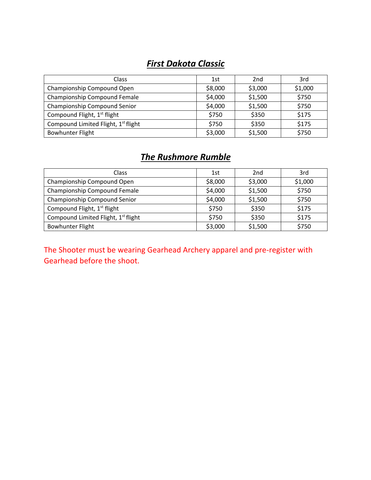## *First Dakota Classic*

| <b>Class</b>                            | 1st     | 2 <sub>nd</sub> | 3rd     |
|-----------------------------------------|---------|-----------------|---------|
| Championship Compound Open              | \$8,000 | \$3,000         | \$1,000 |
| Championship Compound Female            | \$4,000 | \$1,500         | \$750   |
| Championship Compound Senior            | \$4,000 | \$1,500         | \$750   |
| Compound Flight, 1 <sup>st</sup> flight | \$750   | \$350           | \$175   |
| Compound Limited Flight, 1st flight     | \$750   | \$350           | \$175   |
| <b>Bowhunter Flight</b>                 | \$3,000 | \$1,500         | \$750   |

## *The Rushmore Rumble*

| <b>Class</b>                                    | 1st     | 2 <sub>nd</sub> | 3rd     |
|-------------------------------------------------|---------|-----------------|---------|
| Championship Compound Open                      | \$8,000 | \$3,000         | \$1,000 |
| Championship Compound Female                    | \$4,000 | \$1,500         | \$750   |
| Championship Compound Senior                    | \$4,000 | \$1,500         | \$750   |
| Compound Flight, 1 <sup>st</sup> flight         | \$750   | \$350           | \$175   |
| Compound Limited Flight, 1 <sup>st</sup> flight | \$750   | \$350           | \$175   |
| <b>Bowhunter Flight</b>                         | \$3,000 | \$1,500         | \$750   |

The Shooter must be wearing Gearhead Archery apparel and pre-register with Gearhead before the shoot.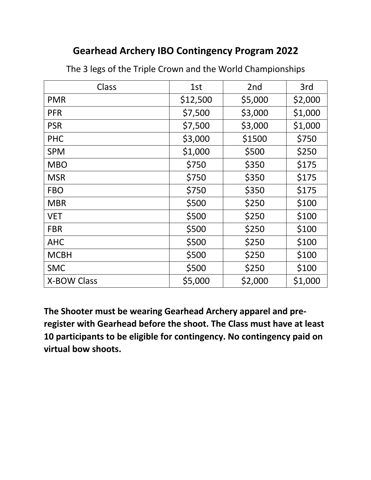## **Gearhead Archery IBO Contingency Program 2022**

| Class              | 1st      | 2nd     | 3rd     |
|--------------------|----------|---------|---------|
| <b>PMR</b>         | \$12,500 | \$5,000 | \$2,000 |
| <b>PFR</b>         | \$7,500  | \$3,000 | \$1,000 |
| <b>PSR</b>         | \$7,500  | \$3,000 | \$1,000 |
| <b>PHC</b>         | \$3,000  | \$1500  | \$750   |
| <b>SPM</b>         | \$1,000  | \$500   | \$250   |
| <b>MBO</b>         | \$750    | \$350   | \$175   |
| <b>MSR</b>         | \$750    | \$350   | \$175   |
| <b>FBO</b>         | \$750    | \$350   | \$175   |
| <b>MBR</b>         | \$500    | \$250   | \$100   |
| <b>VET</b>         | \$500    | \$250   | \$100   |
| <b>FBR</b>         | \$500    | \$250   | \$100   |
| <b>AHC</b>         | \$500    | \$250   | \$100   |
| <b>MCBH</b>        | \$500    | \$250   | \$100   |
| <b>SMC</b>         | \$500    | \$250   | \$100   |
| <b>X-BOW Class</b> | \$5,000  | \$2,000 | \$1,000 |

The 3 legs of the Triple Crown and the World Championships

**The Shooter must be wearing Gearhead Archery apparel and preregister with Gearhead before the shoot. The Class must have at least 10 participants to be eligible for contingency. No contingency paid on virtual bow shoots.**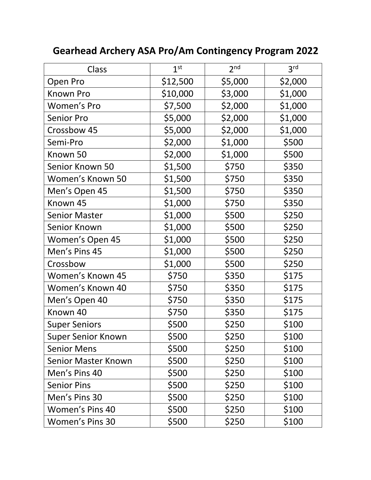| Class                | 1 <sup>st</sup> | 2 <sub>nd</sub> | 3 <sup>rd</sup> |
|----------------------|-----------------|-----------------|-----------------|
| Open Pro             | \$12,500        | \$5,000         | \$2,000         |
| Known Pro            | \$10,000        | \$3,000         | \$1,000         |
| Women's Pro          | \$7,500         | \$2,000         | \$1,000         |
| <b>Senior Pro</b>    | \$5,000         | \$2,000         | \$1,000         |
| Crossbow 45          | \$5,000         | \$2,000         | \$1,000         |
| Semi-Pro             | \$2,000         | \$1,000         | \$500           |
| Known 50             | \$2,000         | \$1,000         | \$500           |
| Senior Known 50      | \$1,500         | \$750           | \$350           |
| Women's Known 50     | \$1,500         | \$750           | \$350           |
| Men's Open 45        | \$1,500         | \$750           | \$350           |
| Known 45             | \$1,000         | \$750           | \$350           |
| <b>Senior Master</b> | \$1,000         | \$500           | \$250           |
| Senior Known         | \$1,000         | \$500           | \$250           |
| Women's Open 45      | \$1,000         | \$500           | \$250           |
| Men's Pins 45        | \$1,000         | \$500           | \$250           |
| Crossbow             | \$1,000         | \$500           | \$250           |
| Women's Known 45     | \$750           | \$350           | \$175           |
| Women's Known 40     | \$750           | \$350           | \$175           |
| Men's Open 40        | \$750           | \$350           | \$175           |
| Known 40             | \$750           | \$350           | \$175           |
| <b>Super Seniors</b> | \$500           | \$250           | \$100           |
| Super Senior Known   | \$500           | \$250           | \$100           |
| <b>Senior Mens</b>   | \$500           | \$250           | \$100           |
| Senior Master Known  | \$500           | \$250           | \$100           |
| Men's Pins 40        | \$500           | \$250           | \$100           |
| <b>Senior Pins</b>   | \$500           | \$250           | \$100           |
| Men's Pins 30        | \$500           | \$250           | \$100           |
| Women's Pins 40      | \$500           | \$250           | \$100           |
| Women's Pins 30      | \$500           | \$250           | \$100           |

# **Gearhead Archery ASA Pro/Am Contingency Program 2022**